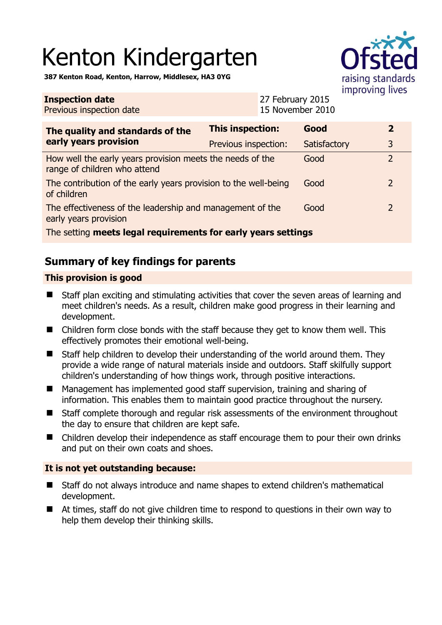# Kenton Kindergarten



**387 Kenton Road, Kenton, Harrow, Middlesex, HA3 0YG** 

| <b>Inspection date</b><br>Previous inspection date                                                |                         | 27 February 2015<br>15 November 2010 |              |                |  |
|---------------------------------------------------------------------------------------------------|-------------------------|--------------------------------------|--------------|----------------|--|
| The quality and standards of the<br>early years provision                                         | <b>This inspection:</b> |                                      | Good         | $\overline{2}$ |  |
|                                                                                                   | Previous inspection:    |                                      | Satisfactory | 3              |  |
| How well the early years provision meets the needs of the<br>Good<br>range of children who attend |                         |                                      |              | $\overline{2}$ |  |
| The contribution of the early years provision to the well-being<br>of children                    |                         |                                      | Good         | 2              |  |
| The effectiveness of the leadership and management of the<br>early years provision                |                         |                                      | Good         | 2              |  |
| The setting meets legal requirements for early years settings                                     |                         |                                      |              |                |  |

# **Summary of key findings for parents**

## **This provision is good**

- Staff plan exciting and stimulating activities that cover the seven areas of learning and meet children's needs. As a result, children make good progress in their learning and development.
- Children form close bonds with the staff because they get to know them well. This effectively promotes their emotional well-being.
- Staff help children to develop their understanding of the world around them. They provide a wide range of natural materials inside and outdoors. Staff skilfully support children's understanding of how things work, through positive interactions.
- Management has implemented good staff supervision, training and sharing of information. This enables them to maintain good practice throughout the nursery.
- Staff complete thorough and regular risk assessments of the environment throughout the day to ensure that children are kept safe.
- Children develop their independence as staff encourage them to pour their own drinks and put on their own coats and shoes.

## **It is not yet outstanding because:**

- Staff do not always introduce and name shapes to extend children's mathematical development.
- At times, staff do not give children time to respond to questions in their own way to help them develop their thinking skills.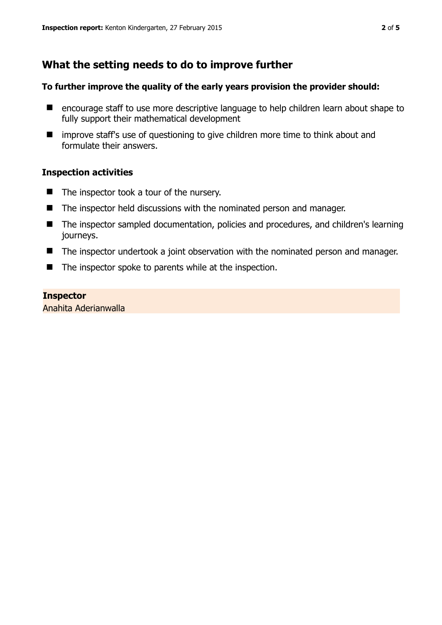# **What the setting needs to do to improve further**

#### **To further improve the quality of the early years provision the provider should:**

- encourage staff to use more descriptive language to help children learn about shape to fully support their mathematical development
- improve staff's use of questioning to give children more time to think about and formulate their answers.

## **Inspection activities**

- $\blacksquare$  The inspector took a tour of the nursery.
- The inspector held discussions with the nominated person and manager.
- The inspector sampled documentation, policies and procedures, and children's learning journeys.
- The inspector undertook a joint observation with the nominated person and manager.
- $\blacksquare$  The inspector spoke to parents while at the inspection.

#### **Inspector**

Anahita Aderianwalla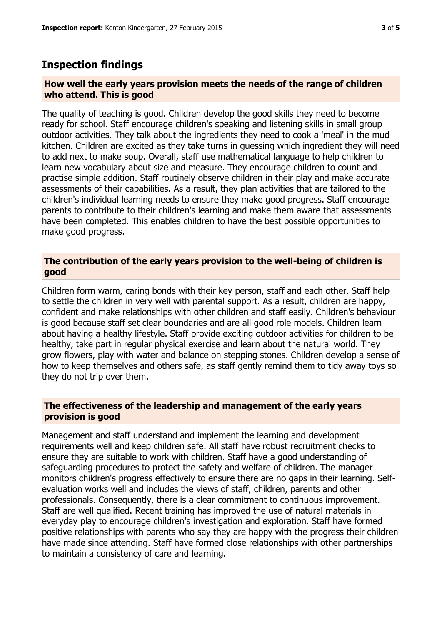# **Inspection findings**

#### **How well the early years provision meets the needs of the range of children who attend. This is good**

The quality of teaching is good. Children develop the good skills they need to become ready for school. Staff encourage children's speaking and listening skills in small group outdoor activities. They talk about the ingredients they need to cook a 'meal' in the mud kitchen. Children are excited as they take turns in guessing which ingredient they will need to add next to make soup. Overall, staff use mathematical language to help children to learn new vocabulary about size and measure. They encourage children to count and practise simple addition. Staff routinely observe children in their play and make accurate assessments of their capabilities. As a result, they plan activities that are tailored to the children's individual learning needs to ensure they make good progress. Staff encourage parents to contribute to their children's learning and make them aware that assessments have been completed. This enables children to have the best possible opportunities to make good progress.

#### **The contribution of the early years provision to the well-being of children is good**

Children form warm, caring bonds with their key person, staff and each other. Staff help to settle the children in very well with parental support. As a result, children are happy, confident and make relationships with other children and staff easily. Children's behaviour is good because staff set clear boundaries and are all good role models. Children learn about having a healthy lifestyle. Staff provide exciting outdoor activities for children to be healthy, take part in regular physical exercise and learn about the natural world. They grow flowers, play with water and balance on stepping stones. Children develop a sense of how to keep themselves and others safe, as staff gently remind them to tidy away toys so they do not trip over them.

## **The effectiveness of the leadership and management of the early years provision is good**

Management and staff understand and implement the learning and development requirements well and keep children safe. All staff have robust recruitment checks to ensure they are suitable to work with children. Staff have a good understanding of safeguarding procedures to protect the safety and welfare of children. The manager monitors children's progress effectively to ensure there are no gaps in their learning. Selfevaluation works well and includes the views of staff, children, parents and other professionals. Consequently, there is a clear commitment to continuous improvement. Staff are well qualified. Recent training has improved the use of natural materials in everyday play to encourage children's investigation and exploration. Staff have formed positive relationships with parents who say they are happy with the progress their children have made since attending. Staff have formed close relationships with other partnerships to maintain a consistency of care and learning.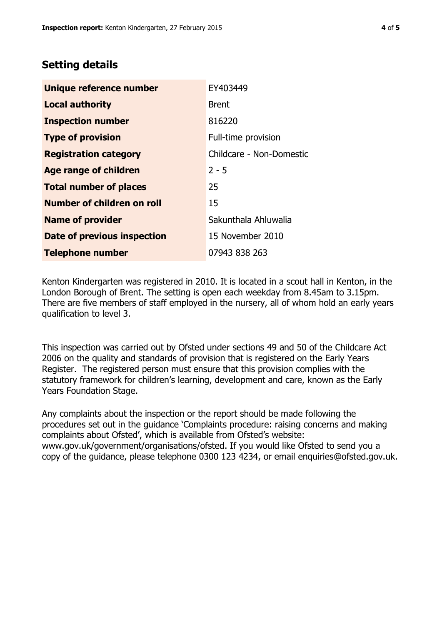# **Setting details**

| Unique reference number       | EY403449                 |  |
|-------------------------------|--------------------------|--|
| <b>Local authority</b>        | <b>Brent</b>             |  |
| <b>Inspection number</b>      | 816220                   |  |
| <b>Type of provision</b>      | Full-time provision      |  |
| <b>Registration category</b>  | Childcare - Non-Domestic |  |
| <b>Age range of children</b>  | $2 - 5$                  |  |
| <b>Total number of places</b> | 25                       |  |
| Number of children on roll    | 15                       |  |
| <b>Name of provider</b>       | Sakunthala Ahluwalia     |  |
| Date of previous inspection   | 15 November 2010         |  |
| <b>Telephone number</b>       | 07943 838 263            |  |

Kenton Kindergarten was registered in 2010. It is located in a scout hall in Kenton, in the London Borough of Brent. The setting is open each weekday from 8.45am to 3.15pm. There are five members of staff employed in the nursery, all of whom hold an early years qualification to level 3.

This inspection was carried out by Ofsted under sections 49 and 50 of the Childcare Act 2006 on the quality and standards of provision that is registered on the Early Years Register. The registered person must ensure that this provision complies with the statutory framework for children's learning, development and care, known as the Early Years Foundation Stage.

Any complaints about the inspection or the report should be made following the procedures set out in the guidance 'Complaints procedure: raising concerns and making complaints about Ofsted', which is available from Ofsted's website: www.gov.uk/government/organisations/ofsted. If you would like Ofsted to send you a copy of the guidance, please telephone 0300 123 4234, or email enquiries@ofsted.gov.uk.